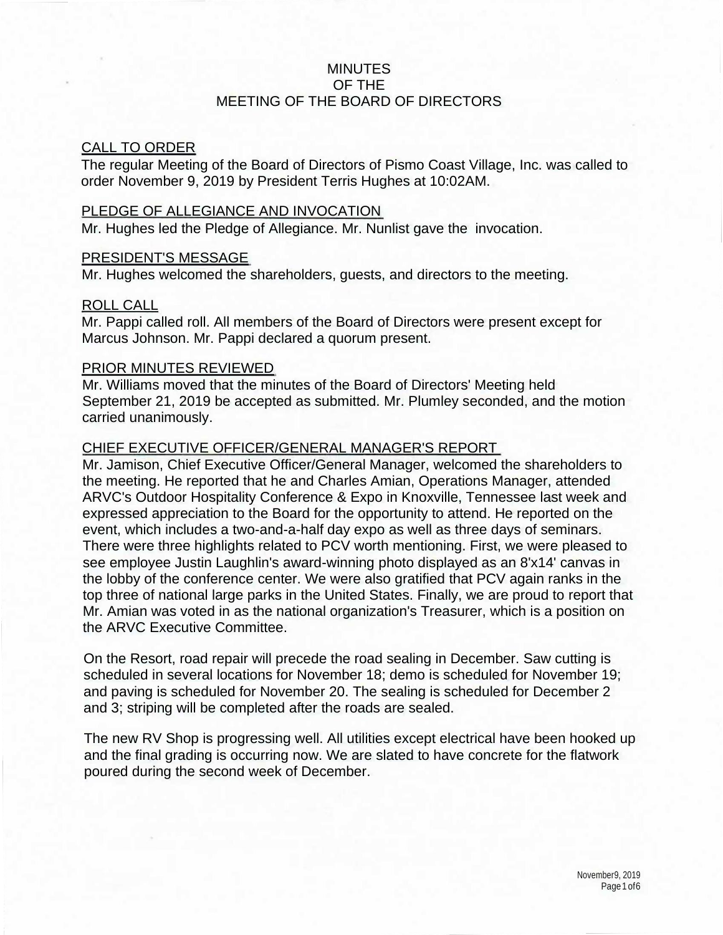### MINUTES OF THE MEETING OF THE BOARD OF DIRECTORS

#### CALL TO ORDER

The regular Meeting of the Board of Directors of Pismo Coast Village, Inc. was called to order November 9, 2019 by President Terris Hughes at 10:02AM.

#### PLEDGE OF ALLEGIANCE AND INVOCATION

Mr. Hughes led the Pledge of Allegiance. Mr. Nunlist gave the invocation.

### PRESIDENT'S MESSAGE

Mr. Hughes welcomed the shareholders, guests, and directors to the meeting.

### ROLL CALL

Mr. Pappi called roll. All members of the Board of Directors were present except for Marcus Johnson. Mr. Pappi declared a quorum present.

### PRIOR MINUTES REVIEWED

Mr. Williams moved that the minutes of the Board of Directors' Meeting held September 21, 2019 be accepted as submitted. Mr. Plumley seconded, and the motion carried unanimously.

### CHIEF EXECUTIVE OFFICER/GENERAL MANAGER'S REPORT

Mr. Jamison, Chief Executive Officer/General Manager, welcomed the shareholders to the meeting. He reported that he and Charles Amian, Operations Manager, attended ARVC's Outdoor Hospitality Conference & Expo in Knoxville, Tennessee last week and expressed appreciation to the Board for the opportunity to attend. He reported on the event, which includes a two-and-a-half day expo as well as three days of seminars. There were three highlights related to PCV worth mentioning. First, we were pleased to see employee Justin Laughlin's award-winning photo displayed as an 8'x14' canvas in the lobby of the conference center. We were also gratified that PCV again ranks in the top three of national large parks in the United States. Finally, we are proud to report that Mr. Amian was voted in as the national organization's Treasurer, which is a position on the ARVC Executive Committee.

On the Resort, road repair will precede the road sealing in December. Saw cutting is scheduled in several locations for November 18; demo is scheduled for November 19; and paving is scheduled for November 20. The sealing is scheduled for December 2 and 3; striping will be completed after the roads are sealed.

The new RV Shop is progressing well. All utilities except electrical have been hooked up and the final grading is occurring now. We are slated to have concrete for the flatwork poured during the second week of December.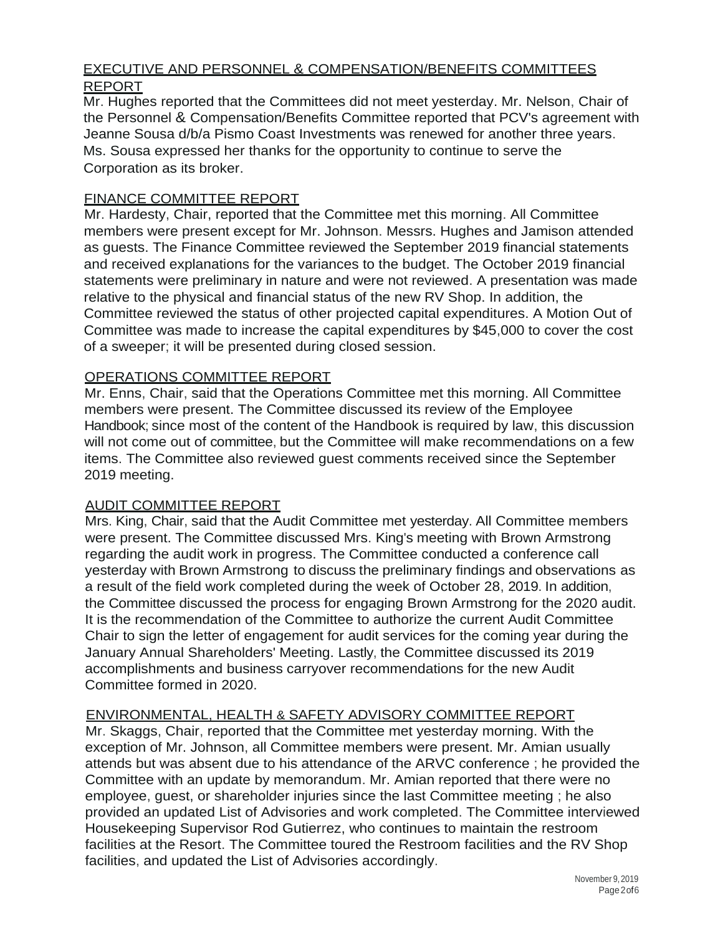# EXECUTIVE AND PERSONNEL & COMPENSATION/BENEFITS COMMITTEES

## REPORT

Mr. Hughes reported that the Committees did not meet yesterday. Mr. Nelson, Chair of the Personnel & Compensation/Benefits Committee reported that PCV's agreement with Jeanne Sousa d/b/a Pismo Coast Investments was renewed for another three years. Ms. Sousa expressed her thanks for the opportunity to continue to serve the Corporation as its broker.

## FINANCE COMMITTEE REPORT

Mr. Hardesty, Chair, reported that the Committee met this morning. All Committee members were present except for Mr. Johnson. Messrs. Hughes and Jamison attended as guests. The Finance Committee reviewed the September 2019 financial statements and received explanations for the variances to the budget. The October 2019 financial statements were preliminary in nature and were not reviewed. A presentation was made relative to the physical and financial status of the new RV Shop. In addition, the Committee reviewed the status of other projected capital expenditures. A Motion Out of Committee was made to increase the capital expenditures by \$45,000 to cover the cost of a sweeper; it will be presented during closed session.

## OPERATIONS COMMITTEE REPORT

Mr. Enns, Chair, said that the Operations Committee met this morning. All Committee members were present. The Committee discussed its review of the Employee Handbook; since most of the content of the Handbook is required by law, this discussion will not come out of committee, but the Committee will make recommendations on a few items. The Committee also reviewed guest comments received since the September 2019 meeting.

## AUDIT COMMITTEE REPORT

Mrs. King, Chair, said that the Audit Committee met yesterday. All Committee members were present. The Committee discussed Mrs. King's meeting with Brown Armstrong regarding the audit work in progress. The Committee conducted a conference call yesterday with Brown Armstrong to discuss the preliminary findings and observations as a result of the field work completed during the week of October 28, 2019. In addition, the Committee discussed the process for engaging Brown Armstrong for the 2020 audit. It is the recommendation of the Committee to authorize the current Audit Committee Chair to sign the letter of engagement for audit services for the coming year during the January Annual Shareholders' Meeting. Lastly, the Committee discussed its 2019 accomplishments and business carryover recommendations for the new Audit Committee formed in 2020.

## ENVIRONMENTAL, HEALTH & SAFETY ADVISORY COMMITTEE REPORT

Mr. Skaggs, Chair, reported that the Committee met yesterday morning. With the exception of Mr. Johnson, all Committee members were present. Mr. Amian usually attends but was absent due to his attendance of the ARVC conference ; he provided the Committee with an update by memorandum. Mr. Amian reported that there were no employee, guest, or shareholder injuries since the last Committee meeting ; he also provided an updated List of Advisories and work completed. The Committee interviewed Housekeeping Supervisor Rod Gutierrez, who continues to maintain the restroom facilities at the Resort. The Committee toured the Restroom facilities and the RV Shop facilities, and updated the List of Advisories accordingly.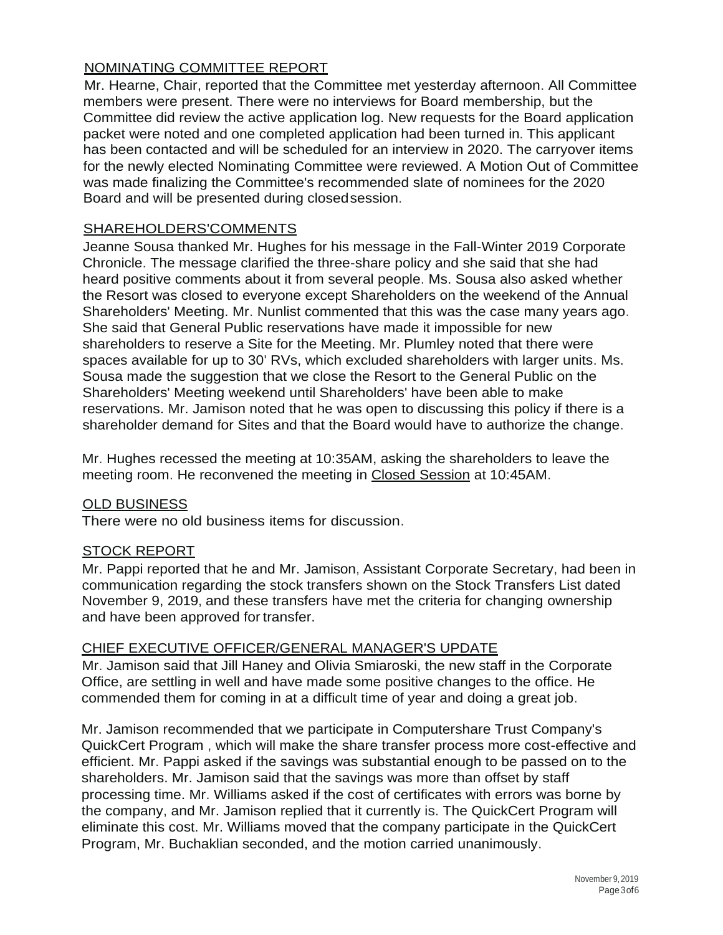## NOMINATING COMMITTEE REPORT

Mr. Hearne, Chair, reported that the Committee met yesterday afternoon. All Committee members were present. There were no interviews for Board membership, but the Committee did review the active application log. New requests for the Board application packet were noted and one completed application had been turned in. This applicant has been contacted and will be scheduled for an interview in 2020. The carryover items for the newly elected Nominating Committee were reviewed. A Motion Out of Committee was made finalizing the Committee's recommended slate of nominees for the 2020 Board and will be presented during closedsession.

## SHAREHOLDERS'COMMENTS

Jeanne Sousa thanked Mr. Hughes for his message in the Fall-Winter 2019 Corporate Chronicle. The message clarified the three-share policy and she said that she had heard positive comments about it from several people. Ms. Sousa also asked whether the Resort was closed to everyone except Shareholders on the weekend of the Annual Shareholders' Meeting. Mr. Nunlist commented that this was the case many years ago. She said that General Public reservations have made it impossible for new shareholders to reserve a Site for the Meeting. Mr. Plumley noted that there were spaces available for up to 30' RVs, which excluded shareholders with larger units. Ms. Sousa made the suggestion that we close the Resort to the General Public on the Shareholders' Meeting weekend until Shareholders' have been able to make reservations. Mr. Jamison noted that he was open to discussing this policy if there is a shareholder demand for Sites and that the Board would have to authorize the change.

Mr. Hughes recessed the meeting at 10:35AM, asking the shareholders to leave the meeting room. He reconvened the meeting in Closed Session at 10:45AM.

## **OLD BUSINESS**

There were no old business items for discussion.

## STOCK REPORT

Mr. Pappi reported that he and Mr. Jamison, Assistant Corporate Secretary, had been in communication regarding the stock transfers shown on the Stock Transfers List dated November 9, 2019, and these transfers have met the criteria for changing ownership and have been approved for transfer.

## CHIEF EXECUTIVE OFFICER/GENERAL MANAGER'S UPDATE

Mr. Jamison said that Jill Haney and Olivia Smiaroski, the new staff in the Corporate Office, are settling in well and have made some positive changes to the office. He commended them for coming in at a difficult time of year and doing a great job.

Mr. Jamison recommended that we participate in Computershare Trust Company's QuickCert Program , which will make the share transfer process more cost-effective and efficient. Mr. Pappi asked if the savings was substantial enough to be passed on to the shareholders. Mr. Jamison said that the savings was more than offset by staff processing time. Mr. Williams asked if the cost of certificates with errors was borne by the company, and Mr. Jamison replied that it currently is. The QuickCert Program will eliminate this cost. Mr. Williams moved that the company participate in the QuickCert Program, Mr. Buchaklian seconded, and the motion carried unanimously.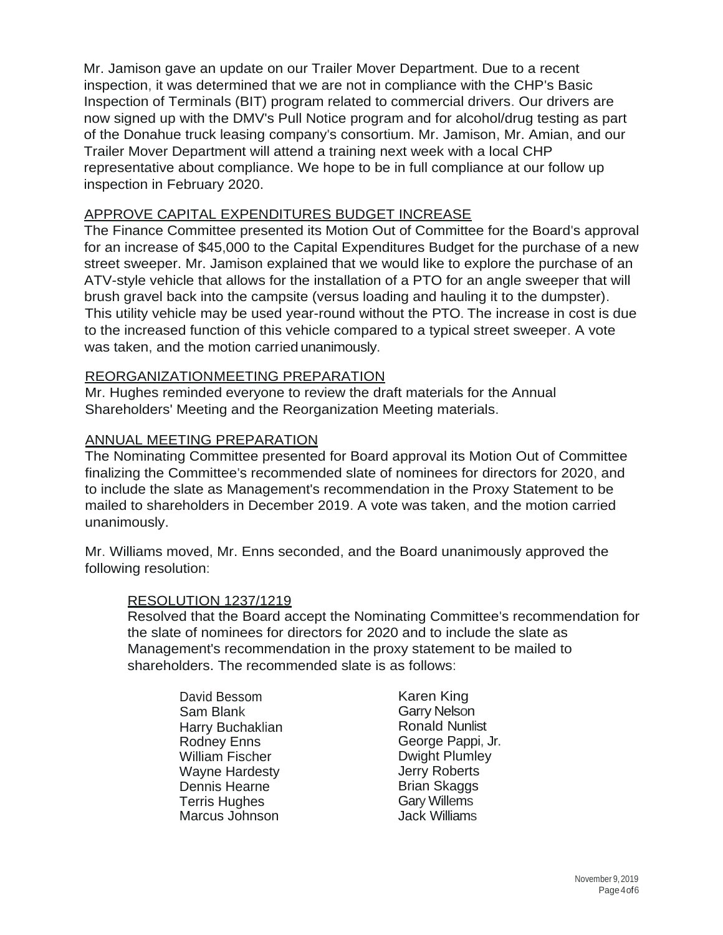Mr. Jamison gave an update on our Trailer Mover Department. Due to a recent inspection, it was determined that we are not in compliance with the CHP's Basic Inspection of Terminals (BIT) program related to commercial drivers. Our drivers are now signed up with the DMV's Pull Notice program and for alcohol/drug testing as part of the Donahue truck leasing company's consortium. Mr. Jamison, Mr. Amian, and our Trailer Mover Department will attend a training next week with a local CHP representative about compliance. We hope to be in full compliance at our follow up inspection in February 2020.

### APPROVE CAPITAL EXPENDITURES BUDGET INCREASE

The Finance Committee presented its Motion Out of Committee for the Board's approval for an increase of \$45,000 to the Capital Expenditures Budget for the purchase of a new street sweeper. Mr. Jamison explained that we would like to explore the purchase of an ATV-style vehicle that allows for the installation of a PTO for an angle sweeper that will brush gravel back into the campsite (versus loading and hauling it to the dumpster). This utility vehicle may be used year-round without the PTO. The increase in cost is due to the increased function of this vehicle compared to a typical street sweeper. A vote was taken, and the motion carried unanimously.

#### REORGANIZATIONMEETING PREPARATION

Mr. Hughes reminded everyone to review the draft materials for the Annual Shareholders' Meeting and the Reorganization Meeting materials.

#### ANNUAL MEETING PREPARATION

The Nominating Committee presented for Board approval its Motion Out of Committee finalizing the Committee's recommended slate of nominees for directors for 2020, and to include the slate as Management's recommendation in the Proxy Statement to be mailed to shareholders in December 2019. A vote was taken, and the motion carried unanimously.

Mr. Williams moved, Mr. Enns seconded, and the Board unanimously approved the following resolution:

#### RESOLUTION 1237/1219

Resolved that the Board accept the Nominating Committee's recommendation for the slate of nominees for directors for 2020 and to include the slate as Management's recommendation in the proxy statement to be mailed to shareholders. The recommended slate is as follows:

David Bessom Sam Blank Harry Buchaklian Rodney Enns William Fischer Wayne Hardesty Dennis Hearne Terris Hughes Marcus Johnson

Karen King Garry Nelson Ronald Nunlist George Pappi, Jr. Dwight Plumley Jerry Roberts Brian Skaggs Gary Willems Jack Williams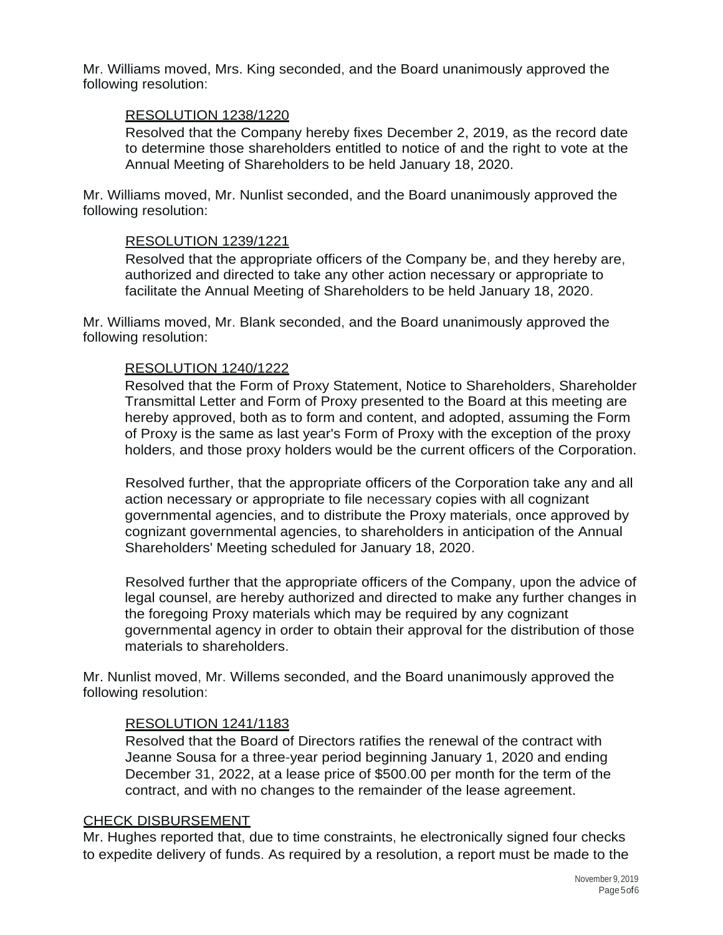Mr. Williams moved, Mrs. King seconded, and the Board unanimously approved the following resolution:

#### RESOLUTION 1238/1220

Resolved that the Company hereby fixes December 2, 2019, as the record date to determine those shareholders entitled to notice of and the right to vote at the Annual Meeting of Shareholders to be held January 18, 2020.

Mr. Williams moved, Mr. Nunlist seconded, and the Board unanimously approved the following resolution:

#### RESOLUTION 1239/1221

Resolved that the appropriate officers of the Company be, and they hereby are, authorized and directed to take any other action necessary or appropriate to facilitate the Annual Meeting of Shareholders to be held January 18, 2020.

Mr. Williams moved, Mr. Blank seconded, and the Board unanimously approved the following resolution:

#### RESOLUTION 1240/1222

Resolved that the Form of Proxy Statement, Notice to Shareholders, Shareholder Transmittal Letter and Form of Proxy presented to the Board at this meeting are hereby approved, both as to form and content, and adopted, assuming the Form of Proxy is the same as last year's Form of Proxy with the exception of the proxy holders, and those proxy holders would be the current officers of the Corporation.

Resolved further, that the appropriate officers of the Corporation take any and all action necessary or appropriate to file necessary copies with all cognizant governmental agencies, and to distribute the Proxy materials, once approved by cognizant governmental agencies, to shareholders in anticipation of the Annual Shareholders' Meeting scheduled for January 18, 2020.

Resolved further that the appropriate officers of the Company, upon the advice of legal counsel, are hereby authorized and directed to make any further changes in the foregoing Proxy materials which may be required by any cognizant governmental agency in order to obtain their approval for the distribution of those materials to shareholders.

Mr. Nunlist moved, Mr. Willems seconded, and the Board unanimously approved the following resolution:

#### RESOLUTION 1241/1183

Resolved that the Board of Directors ratifies the renewal of the contract with Jeanne Sousa for a three-year period beginning January 1, 2020 and ending December 31, 2022, at a lease price of \$500.00 per month for the term of the contract, and with no changes to the remainder of the lease agreement.

#### CHECK DISBURSEMENT

Mr. Hughes reported that, due to time constraints, he electronically signed four checks to expedite delivery of funds. As required by a resolution, a report must be made to the